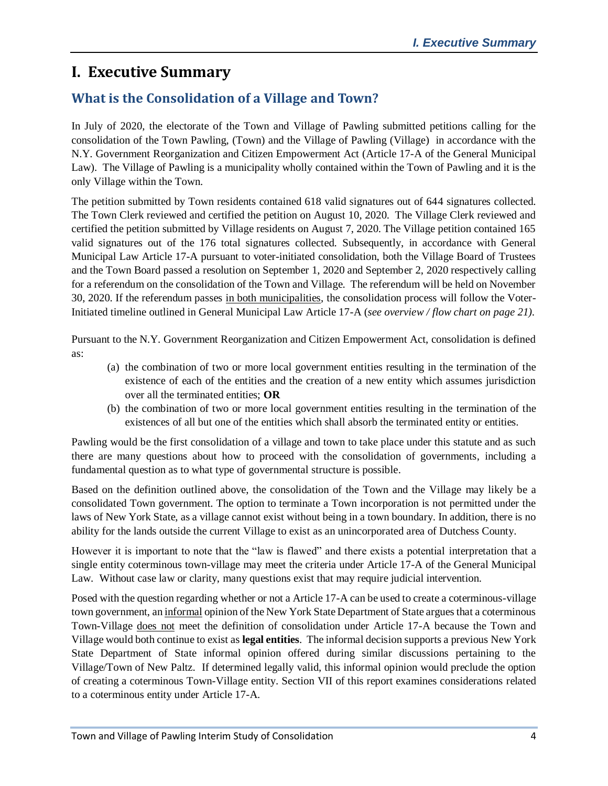# **I. Executive Summary**

# **What is the Consolidation of a Village and Town?**

In July of 2020, the electorate of the Town and Village of Pawling submitted petitions calling for the consolidation of the Town Pawling, (Town) and the Village of Pawling (Village) in accordance with the N.Y. Government Reorganization and Citizen Empowerment Act (Article 17-A of the General Municipal Law). The Village of Pawling is a municipality wholly contained within the Town of Pawling and it is the only Village within the Town.

The petition submitted by Town residents contained 618 valid signatures out of 644 signatures collected. The Town Clerk reviewed and certified the petition on August 10, 2020. The Village Clerk reviewed and certified the petition submitted by Village residents on August 7, 2020. The Village petition contained 165 valid signatures out of the 176 total signatures collected. Subsequently, in accordance with General Municipal Law Article 17-A pursuant to voter-initiated consolidation, both the Village Board of Trustees and the Town Board passed a resolution on September 1, 2020 and September 2, 2020 respectively calling for a referendum on the consolidation of the Town and Village. The referendum will be held on November 30, 2020. If the referendum passes in both municipalities, the consolidation process will follow the Voter-Initiated timeline outlined in General Municipal Law Article 17-A (*see overview / flow chart on page 21)*.

Pursuant to the N.Y. Government Reorganization and Citizen Empowerment Act, consolidation is defined as:

- (a) the combination of two or more local government entities resulting in the termination of the existence of each of the entities and the creation of a new entity which assumes jurisdiction over all the terminated entities; **OR**
- (b) the combination of two or more local government entities resulting in the termination of the existences of all but one of the entities which shall absorb the terminated entity or entities.

Pawling would be the first consolidation of a village and town to take place under this statute and as such there are many questions about how to proceed with the consolidation of governments, including a fundamental question as to what type of governmental structure is possible.

Based on the definition outlined above, the consolidation of the Town and the Village may likely be a consolidated Town government. The option to terminate a Town incorporation is not permitted under the laws of New York State, as a village cannot exist without being in a town boundary. In addition, there is no ability for the lands outside the current Village to exist as an unincorporated area of Dutchess County.

However it is important to note that the "law is flawed" and there exists a potential interpretation that a single entity coterminous town-village may meet the criteria under Article 17-A of the General Municipal Law. Without case law or clarity, many questions exist that may require judicial intervention.

Posed with the question regarding whether or not a Article 17-A can be used to create a coterminous-village town government, an informal opinion of the New York State Department of State argues that a coterminous Town-Village does not meet the definition of consolidation under Article 17-A because the Town and Village would both continue to exist as **legal entities**. The informal decision supports a previous New York State Department of State informal opinion offered during similar discussions pertaining to the Village/Town of New Paltz. If determined legally valid, this informal opinion would preclude the option of creating a coterminous Town-Village entity. Section VII of this report examines considerations related to a coterminous entity under Article 17-A.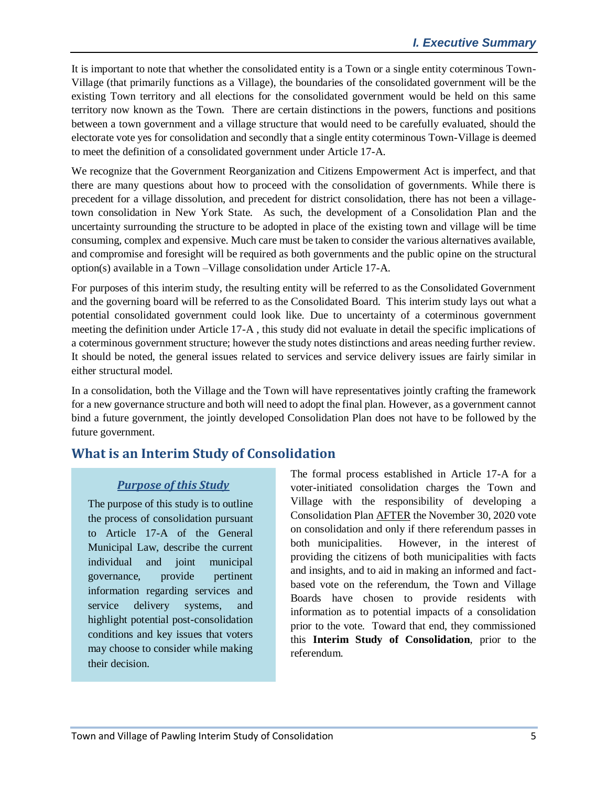It is important to note that whether the consolidated entity is a Town or a single entity coterminous Town-Village (that primarily functions as a Village), the boundaries of the consolidated government will be the existing Town territory and all elections for the consolidated government would be held on this same territory now known as the Town. There are certain distinctions in the powers, functions and positions between a town government and a village structure that would need to be carefully evaluated, should the electorate vote yes for consolidation and secondly that a single entity coterminous Town-Village is deemed to meet the definition of a consolidated government under Article 17-A.

We recognize that the Government Reorganization and Citizens Empowerment Act is imperfect, and that there are many questions about how to proceed with the consolidation of governments. While there is precedent for a village dissolution, and precedent for district consolidation, there has not been a villagetown consolidation in New York State. As such, the development of a Consolidation Plan and the uncertainty surrounding the structure to be adopted in place of the existing town and village will be time consuming, complex and expensive. Much care must be taken to consider the various alternatives available, and compromise and foresight will be required as both governments and the public opine on the structural option(s) available in a Town –Village consolidation under Article 17-A.

For purposes of this interim study, the resulting entity will be referred to as the Consolidated Government and the governing board will be referred to as the Consolidated Board. This interim study lays out what a potential consolidated government could look like. Due to uncertainty of a coterminous government meeting the definition under Article 17-A , this study did not evaluate in detail the specific implications of a coterminous government structure; however the study notes distinctions and areas needing further review. It should be noted, the general issues related to services and service delivery issues are fairly similar in either structural model.

In a consolidation, both the Village and the Town will have representatives jointly crafting the framework for a new governance structure and both will need to adopt the final plan. However, as a government cannot bind a future government, the jointly developed Consolidation Plan does not have to be followed by the future government.

# **What is an Interim Study of Consolidation**

### *Purpose of this Study*

The purpose of this study is to outline the process of consolidation pursuant to Article 17-A of the General Municipal Law, describe the current individual and joint municipal governance, provide pertinent information regarding services and service delivery systems, and highlight potential post-consolidation conditions and key issues that voters may choose to consider while making their decision.

The formal process established in Article 17-A for a voter-initiated consolidation charges the Town and Village with the responsibility of developing a Consolidation Plan AFTER the November 30, 2020 vote on consolidation and only if there referendum passes in both municipalities. However, in the interest of providing the citizens of both municipalities with facts and insights, and to aid in making an informed and factbased vote on the referendum, the Town and Village Boards have chosen to provide residents with information as to potential impacts of a consolidation prior to the vote. Toward that end, they commissioned this **Interim Study of Consolidation**, prior to the referendum.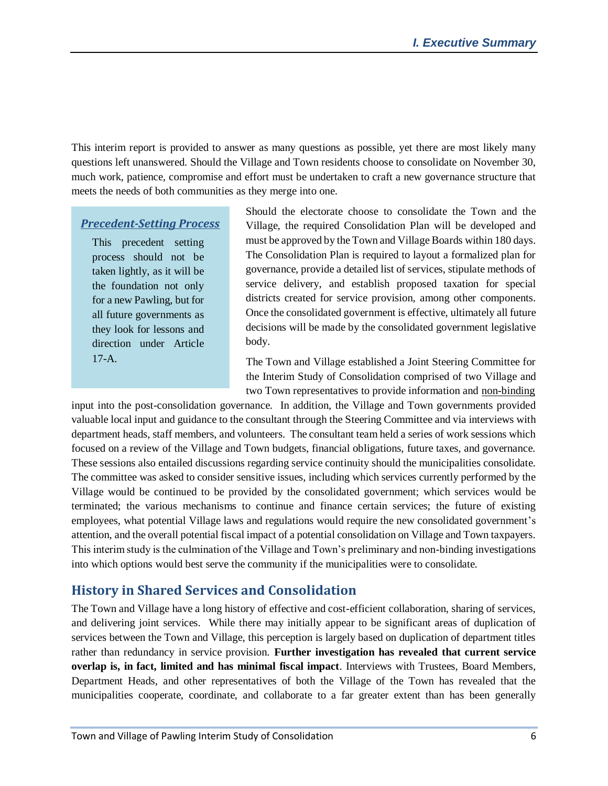This interim report is provided to answer as many questions as possible, yet there are most likely many questions left unanswered. Should the Village and Town residents choose to consolidate on November 30, much work, patience, compromise and effort must be undertaken to craft a new governance structure that meets the needs of both communities as they merge into one.

#### *Precedent-Setting Process*

This precedent setting process should not be taken lightly, as it will be the foundation not only for a new Pawling, but for all future governments as they look for lessons and direction under Article 17-A.

Should the electorate choose to consolidate the Town and the Village, the required Consolidation Plan will be developed and must be approved by the Town and Village Boards within 180 days. The Consolidation Plan is required to layout a formalized plan for governance, provide a detailed list of services, stipulate methods of service delivery, and establish proposed taxation for special districts created for service provision, among other components. Once the consolidated government is effective, ultimately all future decisions will be made by the consolidated government legislative body.

The Town and Village established a Joint Steering Committee for the Interim Study of Consolidation comprised of two Village and two Town representatives to provide information and non-binding

input into the post-consolidation governance. In addition, the Village and Town governments provided valuable local input and guidance to the consultant through the Steering Committee and via interviews with department heads, staff members, and volunteers. The consultant team held a series of work sessions which focused on a review of the Village and Town budgets, financial obligations, future taxes, and governance. These sessions also entailed discussions regarding service continuity should the municipalities consolidate. The committee was asked to consider sensitive issues, including which services currently performed by the Village would be continued to be provided by the consolidated government; which services would be terminated; the various mechanisms to continue and finance certain services; the future of existing employees, what potential Village laws and regulations would require the new consolidated government's attention, and the overall potential fiscal impact of a potential consolidation on Village and Town taxpayers. This interim study is the culmination of the Village and Town's preliminary and non-binding investigations into which options would best serve the community if the municipalities were to consolidate.

## **History in Shared Services and Consolidation**

The Town and Village have a long history of effective and cost-efficient collaboration, sharing of services, and delivering joint services. While there may initially appear to be significant areas of duplication of services between the Town and Village, this perception is largely based on duplication of department titles rather than redundancy in service provision. **Further investigation has revealed that current service overlap is, in fact, limited and has minimal fiscal impact**. Interviews with Trustees, Board Members, Department Heads, and other representatives of both the Village of the Town has revealed that the municipalities cooperate, coordinate, and collaborate to a far greater extent than has been generally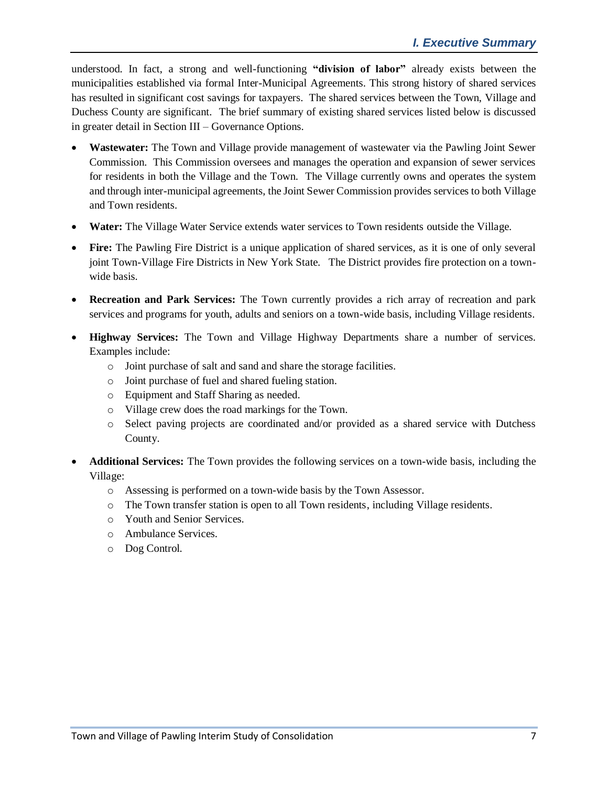understood. In fact, a strong and well-functioning **"division of labor"** already exists between the municipalities established via formal Inter-Municipal Agreements. This strong history of shared services has resulted in significant cost savings for taxpayers. The shared services between the Town, Village and Duchess County are significant. The brief summary of existing shared services listed below is discussed in greater detail in Section III – Governance Options.

- **Wastewater:** The Town and Village provide management of wastewater via the Pawling Joint Sewer Commission. This Commission oversees and manages the operation and expansion of sewer services for residents in both the Village and the Town. The Village currently owns and operates the system and through inter-municipal agreements, the Joint Sewer Commission provides services to both Village and Town residents.
- **Water:** The Village Water Service extends water services to Town residents outside the Village.
- Fire: The Pawling Fire District is a unique application of shared services, as it is one of only several joint Town-Village Fire Districts in New York State. The District provides fire protection on a townwide basis.
- **Recreation and Park Services:** The Town currently provides a rich array of recreation and park services and programs for youth, adults and seniors on a town-wide basis, including Village residents.
- **Highway Services:** The Town and Village Highway Departments share a number of services. Examples include:
	- o Joint purchase of salt and sand and share the storage facilities.
	- o Joint purchase of fuel and shared fueling station.
	- o Equipment and Staff Sharing as needed.
	- o Village crew does the road markings for the Town.
	- o Select paving projects are coordinated and/or provided as a shared service with Dutchess County.
- **Additional Services:** The Town provides the following services on a town-wide basis, including the Village:
	- o Assessing is performed on a town-wide basis by the Town Assessor.
	- o The Town transfer station is open to all Town residents, including Village residents.
	- o Youth and Senior Services.
	- o Ambulance Services.
	- o Dog Control.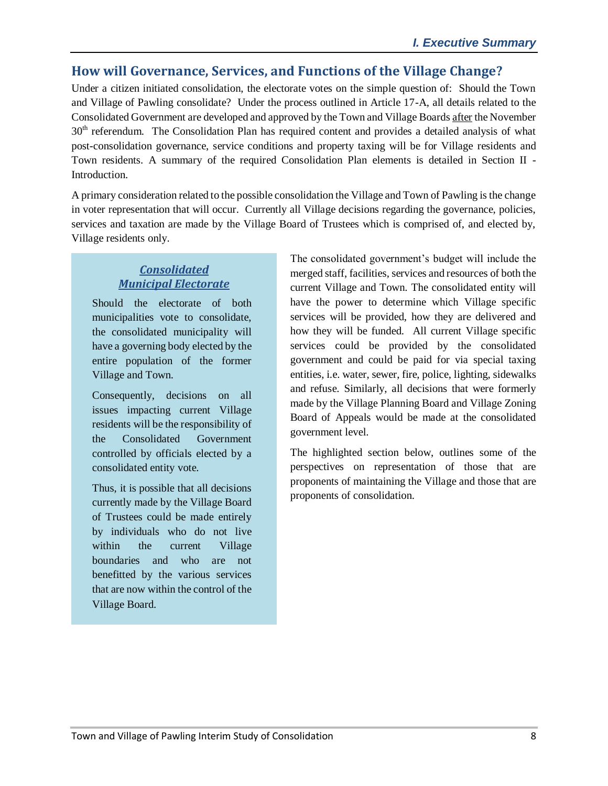# **How will Governance, Services, and Functions of the Village Change?**

Under a citizen initiated consolidation, the electorate votes on the simple question of: Should the Town and Village of Pawling consolidate? Under the process outlined in Article 17-A, all details related to the Consolidated Government are developed and approved by the Town and Village Boards after the November 30<sup>th</sup> referendum. The Consolidation Plan has required content and provides a detailed analysis of what post-consolidation governance, service conditions and property taxing will be for Village residents and Town residents. A summary of the required Consolidation Plan elements is detailed in Section II - Introduction.

A primary consideration related to the possible consolidation the Village and Town of Pawling is the change in voter representation that will occur. Currently all Village decisions regarding the governance, policies, services and taxation are made by the Village Board of Trustees which is comprised of, and elected by, Village residents only.

#### *Consolidated Municipal Electorate*

Should the electorate of both municipalities vote to consolidate, the consolidated municipality will have a governing body elected by the entire population of the former Village and Town.

Consequently, decisions on all issues impacting current Village residents will be the responsibility of the Consolidated Government controlled by officials elected by a consolidated entity vote.

Thus, it is possible that all decisions currently made by the Village Board of Trustees could be made entirely by individuals who do not live within the current Village boundaries and who are not benefitted by the various services that are now within the control of the Village Board.

The consolidated government's budget will include the merged staff, facilities, services and resources of both the current Village and Town. The consolidated entity will have the power to determine which Village specific services will be provided, how they are delivered and how they will be funded. All current Village specific services could be provided by the consolidated government and could be paid for via special taxing entities, i.e. water, sewer, fire, police, lighting, sidewalks and refuse. Similarly, all decisions that were formerly made by the Village Planning Board and Village Zoning Board of Appeals would be made at the consolidated government level.

The highlighted section below, outlines some of the perspectives on representation of those that are proponents of maintaining the Village and those that are proponents of consolidation.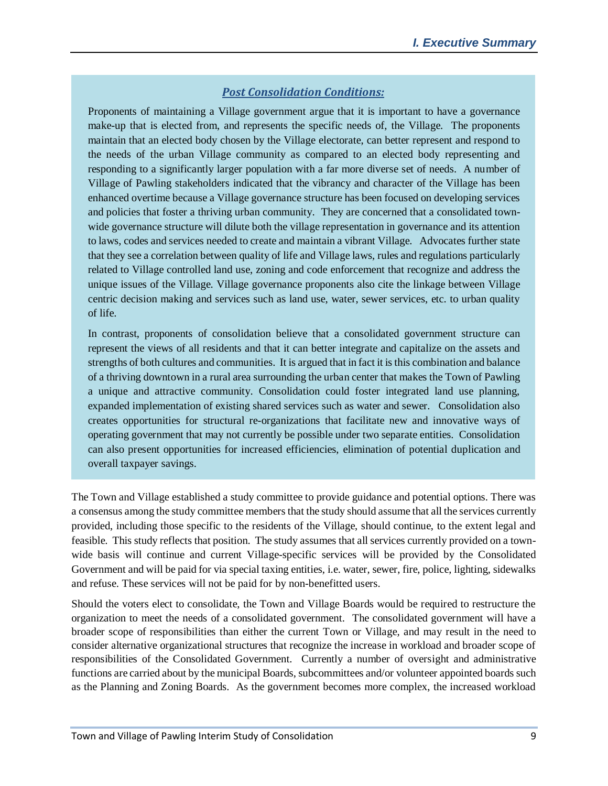#### *Post Consolidation Conditions:*

Proponents of maintaining a Village government argue that it is important to have a governance make-up that is elected from, and represents the specific needs of, the Village. The proponents maintain that an elected body chosen by the Village electorate, can better represent and respond to the needs of the urban Village community as compared to an elected body representing and responding to a significantly larger population with a far more diverse set of needs. A number of Village of Pawling stakeholders indicated that the vibrancy and character of the Village has been enhanced overtime because a Village governance structure has been focused on developing services and policies that foster a thriving urban community. They are concerned that a consolidated townwide governance structure will dilute both the village representation in governance and its attention to laws, codes and services needed to create and maintain a vibrant Village. Advocates further state that they see a correlation between quality of life and Village laws, rules and regulations particularly related to Village controlled land use, zoning and code enforcement that recognize and address the unique issues of the Village. Village governance proponents also cite the linkage between Village centric decision making and services such as land use, water, sewer services, etc. to urban quality of life.

In contrast, proponents of consolidation believe that a consolidated government structure can represent the views of all residents and that it can better integrate and capitalize on the assets and strengths of both cultures and communities. It is argued that in fact it is this combination and balance of a thriving downtown in a rural area surrounding the urban center that makes the Town of Pawling a unique and attractive community. Consolidation could foster integrated land use planning, expanded implementation of existing shared services such as water and sewer. Consolidation also creates opportunities for structural re-organizations that facilitate new and innovative ways of operating government that may not currently be possible under two separate entities. Consolidation can also present opportunities for increased efficiencies, elimination of potential duplication and overall taxpayer savings.

The Town and Village established a study committee to provide guidance and potential options. There was a consensus among the study committee members that the study should assume that all the services currently provided, including those specific to the residents of the Village, should continue, to the extent legal and feasible. This study reflects that position. The study assumes that all services currently provided on a townwide basis will continue and current Village-specific services will be provided by the Consolidated Government and will be paid for via special taxing entities, i.e. water, sewer, fire, police, lighting, sidewalks and refuse. These services will not be paid for by non-benefitted users.

Should the voters elect to consolidate, the Town and Village Boards would be required to restructure the organization to meet the needs of a consolidated government. The consolidated government will have a broader scope of responsibilities than either the current Town or Village, and may result in the need to consider alternative organizational structures that recognize the increase in workload and broader scope of responsibilities of the Consolidated Government. Currently a number of oversight and administrative functions are carried about by the municipal Boards, subcommittees and/or volunteer appointed boards such as the Planning and Zoning Boards. As the government becomes more complex, the increased workload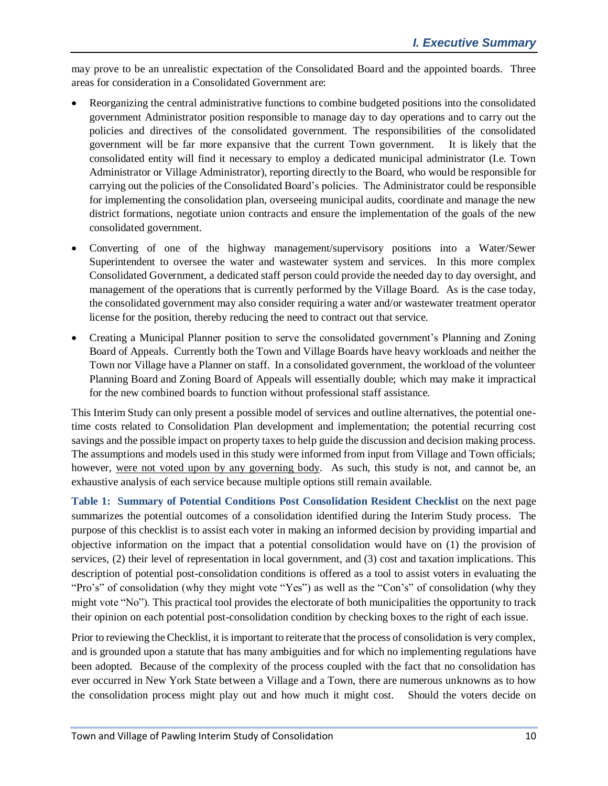may prove to be an unrealistic expectation of the Consolidated Board and the appointed boards. Three areas for consideration in a Consolidated Government are:

- Reorganizing the central administrative functions to combine budgeted positions into the consolidated government Administrator position responsible to manage day to day operations and to carry out the policies and directives of the consolidated government. The responsibilities of the consolidated government will be far more expansive that the current Town government. It is likely that the consolidated entity will find it necessary to employ a dedicated municipal administrator (I.e. Town Administrator or Village Administrator), reporting directly to the Board, who would be responsible for carrying out the policies of the Consolidated Board's policies. The Administrator could be responsible for implementing the consolidation plan, overseeing municipal audits, coordinate and manage the new district formations, negotiate union contracts and ensure the implementation of the goals of the new consolidated government.
- Converting of one of the highway management/supervisory positions into a Water/Sewer Superintendent to oversee the water and wastewater system and services. In this more complex Consolidated Government, a dedicated staff person could provide the needed day to day oversight, and management of the operations that is currently performed by the Village Board. As is the case today, the consolidated government may also consider requiring a water and/or wastewater treatment operator license for the position, thereby reducing the need to contract out that service.
- Creating a Municipal Planner position to serve the consolidated government's Planning and Zoning Board of Appeals. Currently both the Town and Village Boards have heavy workloads and neither the Town nor Village have a Planner on staff. In a consolidated government, the workload of the volunteer Planning Board and Zoning Board of Appeals will essentially double; which may make it impractical for the new combined boards to function without professional staff assistance.

This Interim Study can only present a possible model of services and outline alternatives, the potential onetime costs related to Consolidation Plan development and implementation; the potential recurring cost savings and the possible impact on property taxes to help guide the discussion and decision making process. The assumptions and models used in this study were informed from input from Village and Town officials; however, were not voted upon by any governing body. As such, this study is not, and cannot be, an exhaustive analysis of each service because multiple options still remain available.

**Table 1: Summary of Potential Conditions Post Consolidation Resident Checklist** on the next page summarizes the potential outcomes of a consolidation identified during the Interim Study process. The purpose of this checklist is to assist each voter in making an informed decision by providing impartial and objective information on the impact that a potential consolidation would have on (1) the provision of services, (2) their level of representation in local government, and (3) cost and taxation implications. This description of potential post-consolidation conditions is offered as a tool to assist voters in evaluating the "Pro's" of consolidation (why they might vote "Yes") as well as the "Con's" of consolidation (why they might vote "No"). This practical tool provides the electorate of both municipalities the opportunity to track their opinion on each potential post-consolidation condition by checking boxes to the right of each issue.

Prior to reviewing the Checklist, it is important to reiterate that the process of consolidation is very complex, and is grounded upon a statute that has many ambiguities and for which no implementing regulations have been adopted. Because of the complexity of the process coupled with the fact that no consolidation has ever occurred in New York State between a Village and a Town, there are numerous unknowns as to how the consolidation process might play out and how much it might cost. Should the voters decide on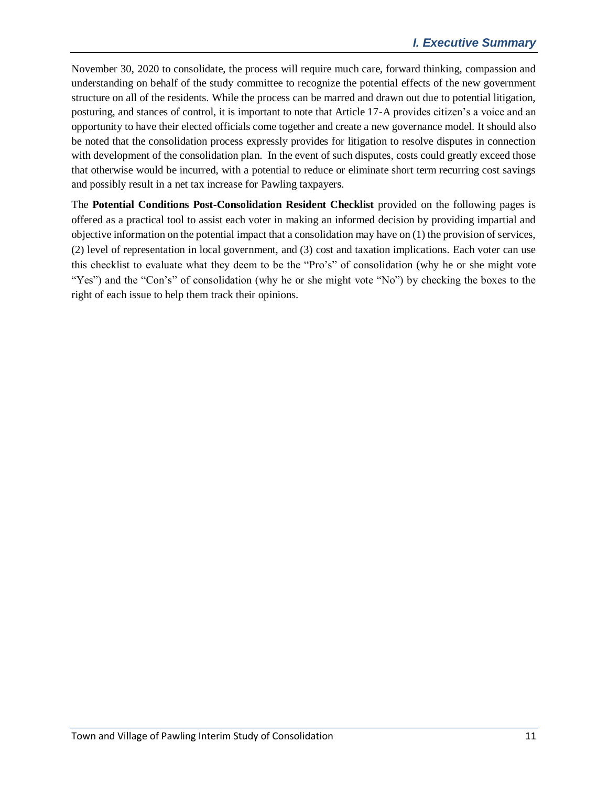November 30, 2020 to consolidate, the process will require much care, forward thinking, compassion and understanding on behalf of the study committee to recognize the potential effects of the new government structure on all of the residents. While the process can be marred and drawn out due to potential litigation, posturing, and stances of control, it is important to note that Article 17-A provides citizen's a voice and an opportunity to have their elected officials come together and create a new governance model. It should also be noted that the consolidation process expressly provides for litigation to resolve disputes in connection with development of the consolidation plan. In the event of such disputes, costs could greatly exceed those that otherwise would be incurred, with a potential to reduce or eliminate short term recurring cost savings and possibly result in a net tax increase for Pawling taxpayers.

The **Potential Conditions Post-Consolidation Resident Checklist** provided on the following pages is offered as a practical tool to assist each voter in making an informed decision by providing impartial and objective information on the potential impact that a consolidation may have on (1) the provision of services, (2) level of representation in local government, and (3) cost and taxation implications. Each voter can use this checklist to evaluate what they deem to be the "Pro's" of consolidation (why he or she might vote "Yes") and the "Con's" of consolidation (why he or she might vote "No") by checking the boxes to the right of each issue to help them track their opinions.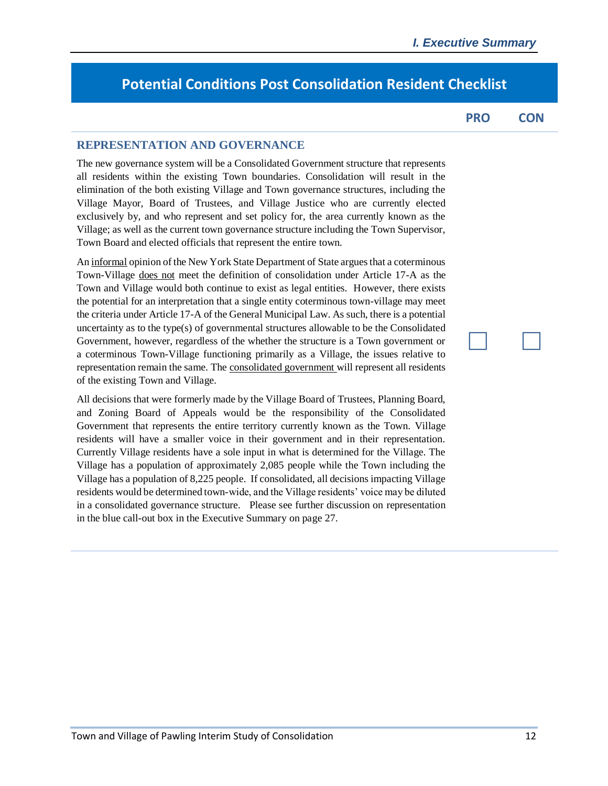# **Potential Conditions Post Consolidation Resident Checklist**

**PRO CON**

**Maria Maria** 

#### **REPRESENTATION AND GOVERNANCE**

The new governance system will be a Consolidated Government structure that represents all residents within the existing Town boundaries. Consolidation will result in the elimination of the both existing Village and Town governance structures, including the Village Mayor, Board of Trustees, and Village Justice who are currently elected exclusively by, and who represent and set policy for, the area currently known as the Village; as well as the current town governance structure including the Town Supervisor, Town Board and elected officials that represent the entire town.

An informal opinion of the New York State Department of State argues that a coterminous Town-Village does not meet the definition of consolidation under Article 17-A as the Town and Village would both continue to exist as legal entities. However, there exists the potential for an interpretation that a single entity coterminous town-village may meet the criteria under Article 17-A of the General Municipal Law. As such, there is a potential uncertainty as to the type(s) of governmental structures allowable to be the Consolidated Government, however, regardless of the whether the structure is a Town government or a coterminous Town-Village functioning primarily as a Village, the issues relative to representation remain the same. The consolidated government will represent all residents of the existing Town and Village.

All decisions that were formerly made by the Village Board of Trustees, Planning Board, and Zoning Board of Appeals would be the responsibility of the Consolidated Government that represents the entire territory currently known as the Town. Village residents will have a smaller voice in their government and in their representation. Currently Village residents have a sole input in what is determined for the Village. The Village has a population of approximately 2,085 people while the Town including the Village has a population of 8,225 people. If consolidated, all decisions impacting Village residents would be determined town-wide, and the Village residents' voice may be diluted in a consolidated governance structure. Please see further discussion on representation in the blue call-out box in the Executive Summary on page 27.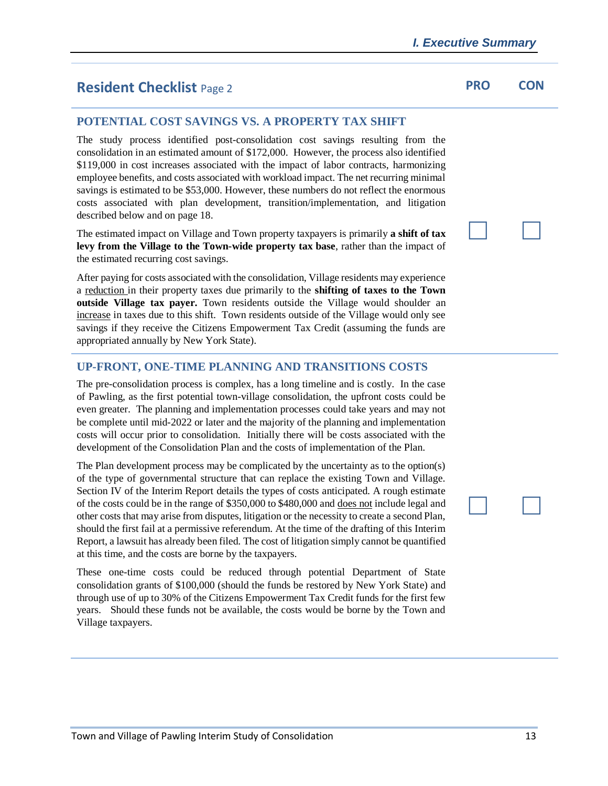# **Resident Checklist** Page 2 **PRO PRO CON**

#### **POTENTIAL COST SAVINGS VS. A PROPERTY TAX SHIFT**

The study process identified post-consolidation cost savings resulting from the consolidation in an estimated amount of \$172,000. However, the process also identified \$119,000 in cost increases associated with the impact of labor contracts, harmonizing employee benefits, and costs associated with workload impact. The net recurring minimal savings is estimated to be \$53,000. However, these numbers do not reflect the enormous costs associated with plan development, transition/implementation, and litigation described below and on page 18.

The estimated impact on Village and Town property taxpayers is primarily **a shift of tax levy from the Village to the Town-wide property tax base**, rather than the impact of the estimated recurring cost savings.

After paying for costs associated with the consolidation, Village residents may experience a reduction in their property taxes due primarily to the **shifting of taxes to the Town outside Village tax payer.** Town residents outside the Village would shoulder an increase in taxes due to this shift. Town residents outside of the Village would only see savings if they receive the Citizens Empowerment Tax Credit (assuming the funds are appropriated annually by New York State).

#### **UP-FRONT, ONE-TIME PLANNING AND TRANSITIONS COSTS**

The pre-consolidation process is complex, has a long timeline and is costly. In the case of Pawling, as the first potential town-village consolidation, the upfront costs could be even greater. The planning and implementation processes could take years and may not be complete until mid-2022 or later and the majority of the planning and implementation costs will occur prior to consolidation. Initially there will be costs associated with the development of the Consolidation Plan and the costs of implementation of the Plan.

The Plan development process may be complicated by the uncertainty as to the option(s) of the type of governmental structure that can replace the existing Town and Village. Section IV of the Interim Report details the types of costs anticipated. A rough estimate of the costs could be in the range of \$350,000 to \$480,000 and does not include legal and other costs that may arise from disputes, litigation or the necessity to create a second Plan, should the first fail at a permissive referendum. At the time of the drafting of this Interim Report, a lawsuit has already been filed. The cost of litigation simply cannot be quantified at this time, and the costs are borne by the taxpayers.

These one-time costs could be reduced through potential Department of State consolidation grants of \$100,000 (should the funds be restored by New York State) and through use of up to 30% of the Citizens Empowerment Tax Credit funds for the first few years. Should these funds not be available, the costs would be borne by the Town and Village taxpayers.

**Maria Maria**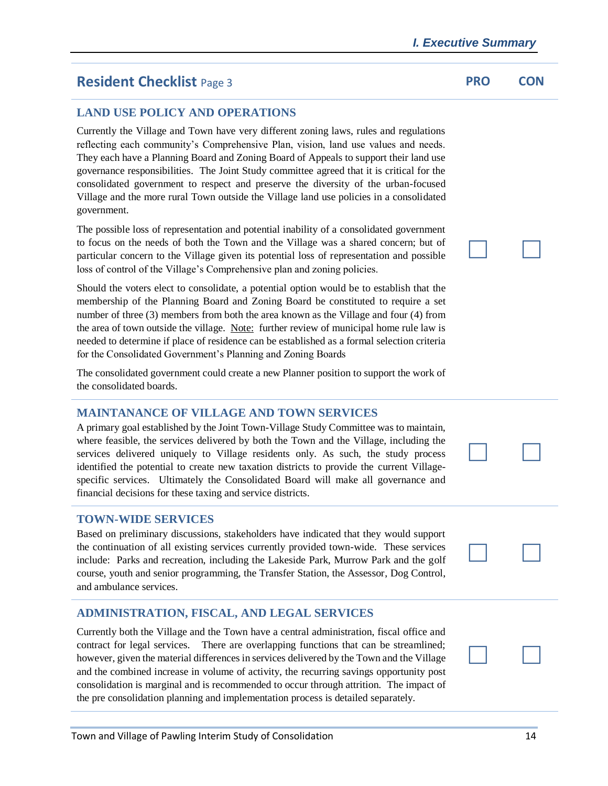# **Resident Checklist** Page 3 **PRO CON**

#### **LAND USE POLICY AND OPERATIONS**

Currently the Village and Town have very different zoning laws, rules and regulations reflecting each community's Comprehensive Plan, vision, land use values and needs. They each have a Planning Board and Zoning Board of Appeals to support their land use governance responsibilities. The Joint Study committee agreed that it is critical for the consolidated government to respect and preserve the diversity of the urban-focused Village and the more rural Town outside the Village land use policies in a consolidated government.

The possible loss of representation and potential inability of a consolidated government to focus on the needs of both the Town and the Village was a shared concern; but of particular concern to the Village given its potential loss of representation and possible loss of control of the Village's Comprehensive plan and zoning policies.

Should the voters elect to consolidate, a potential option would be to establish that the membership of the Planning Board and Zoning Board be constituted to require a set number of three (3) members from both the area known as the Village and four (4) from the area of town outside the village. Note: further review of municipal home rule law is needed to determine if place of residence can be established as a formal selection criteria for the Consolidated Government's Planning and Zoning Boards

The consolidated government could create a new Planner position to support the work of the consolidated boards.

#### **MAINTANANCE OF VILLAGE AND TOWN SERVICES**

A primary goal established by the Joint Town-Village Study Committee was to maintain, where feasible, the services delivered by both the Town and the Village, including the services delivered uniquely to Village residents only. As such, the study process identified the potential to create new taxation districts to provide the current Villagespecific services. Ultimately the Consolidated Board will make all governance and financial decisions for these taxing and service districts.

#### **TOWN-WIDE SERVICES**

Based on preliminary discussions, stakeholders have indicated that they would support the continuation of all existing services currently provided town-wide. These services include: Parks and recreation, including the Lakeside Park, Murrow Park and the golf course, youth and senior programming, the Transfer Station, the Assessor, Dog Control, and ambulance services.

#### **ADMINISTRATION, FISCAL, AND LEGAL SERVICES**

Currently both the Village and the Town have a central administration, fiscal office and contract for legal services. There are overlapping functions that can be streamlined; however, given the material differences in services delivered by the Town and the Village and the combined increase in volume of activity, the recurring savings opportunity post consolidation is marginal and is recommended to occur through attrition. The impact of the pre consolidation planning and implementation process is detailed separately.

**Expertise State** 

**Maria Maria** 

**Expertise State**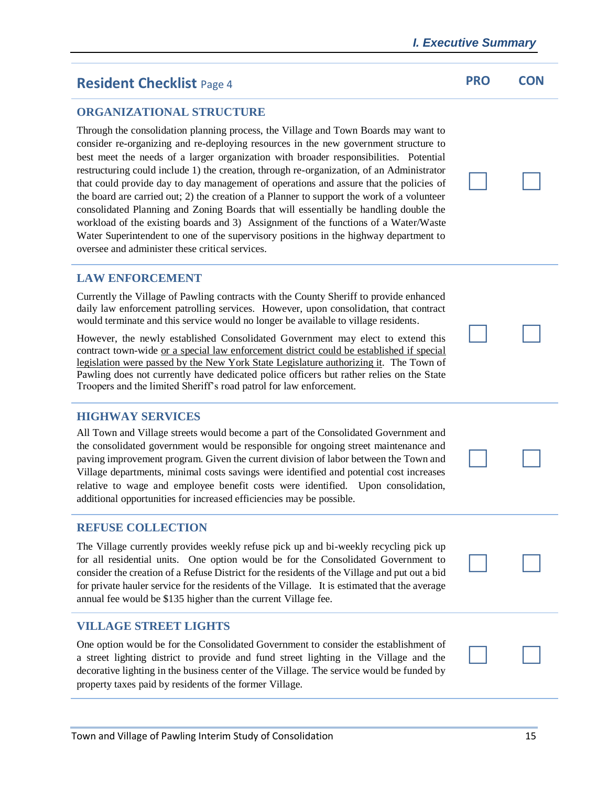# **Resident Checklist** Page 4 **PRO PRO CON**

#### **ORGANIZATIONAL STRUCTURE**

Through the consolidation planning process, the Village and Town Boards may want to consider re-organizing and re-deploying resources in the new government structure to best meet the needs of a larger organization with broader responsibilities. Potential restructuring could include 1) the creation, through re-organization, of an Administrator that could provide day to day management of operations and assure that the policies of the board are carried out; 2) the creation of a Planner to support the work of a volunteer consolidated Planning and Zoning Boards that will essentially be handling double the workload of the existing boards and 3) Assignment of the functions of a Water/Waste Water Superintendent to one of the supervisory positions in the highway department to oversee and administer these critical services.

#### **LAW ENFORCEMENT**

Currently the Village of Pawling contracts with the County Sheriff to provide enhanced daily law enforcement patrolling services. However, upon consolidation, that contract would terminate and this service would no longer be available to village residents.

However, the newly established Consolidated Government may elect to extend this contract town-wide or a special law enforcement district could be established if special legislation were passed by the New York State Legislature authorizing it. The Town of Pawling does not currently have dedicated police officers but rather relies on the State Troopers and the limited Sheriff's road patrol for law enforcement.

#### **HIGHWAY SERVICES**

All Town and Village streets would become a part of the Consolidated Government and the consolidated government would be responsible for ongoing street maintenance and paving improvement program. Given the current division of labor between the Town and Village departments, minimal costs savings were identified and potential cost increases relative to wage and employee benefit costs were identified. Upon consolidation, additional opportunities for increased efficiencies may be possible.

#### **REFUSE COLLECTION**

The Village currently provides weekly refuse pick up and bi-weekly recycling pick up for all residential units. One option would be for the Consolidated Government to consider the creation of a Refuse District for the residents of the Village and put out a bid for private hauler service for the residents of the Village. It is estimated that the average annual fee would be \$135 higher than the current Village fee.

#### **VILLAGE STREET LIGHTS**

One option would be for the Consolidated Government to consider the establishment of a street lighting district to provide and fund street lighting in the Village and the decorative lighting in the business center of the Village. The service would be funded by property taxes paid by residents of the former Village.









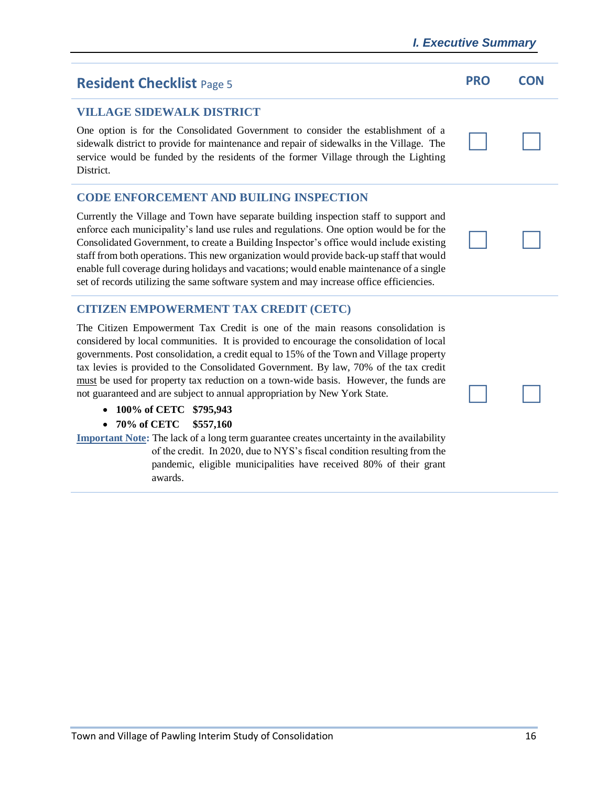# **Resident Checklist** Page 5 **PRO PRO CON**

# **VILLAGE SIDEWALK DISTRICT**

One option is for the Consolidated Government to consider the establishment of a sidewalk district to provide for maintenance and repair of sidewalks in the Village. The service would be funded by the residents of the former Village through the Lighting District.

# **CODE ENFORCEMENT AND BUILING INSPECTION**

Currently the Village and Town have separate building inspection staff to support and enforce each municipality's land use rules and regulations. One option would be for the Consolidated Government, to create a Building Inspector's office would include existing staff from both operations. This new organization would provide back-up staff that would enable full coverage during holidays and vacations; would enable maintenance of a single set of records utilizing the same software system and may increase office efficiencies.

# **CITIZEN EMPOWERMENT TAX CREDIT (CETC)**

The Citizen Empowerment Tax Credit is one of the main reasons consolidation is considered by local communities. It is provided to encourage the consolidation of local governments. Post consolidation, a credit equal to 15% of the Town and Village property tax levies is provided to the Consolidated Government. By law, 70% of the tax credit must be used for property tax reduction on a town-wide basis. However, the funds are not guaranteed and are subject to annual appropriation by New York State.

- **100% of CETC \$795,943**
- **70% of CETC \$557,160**

**Important Note:** The lack of a long term guarantee creates uncertainty in the availability of the credit. In 2020, due to NYS's fiscal condition resulting from the pandemic, eligible municipalities have received 80% of their grant awards.





**Expertise State**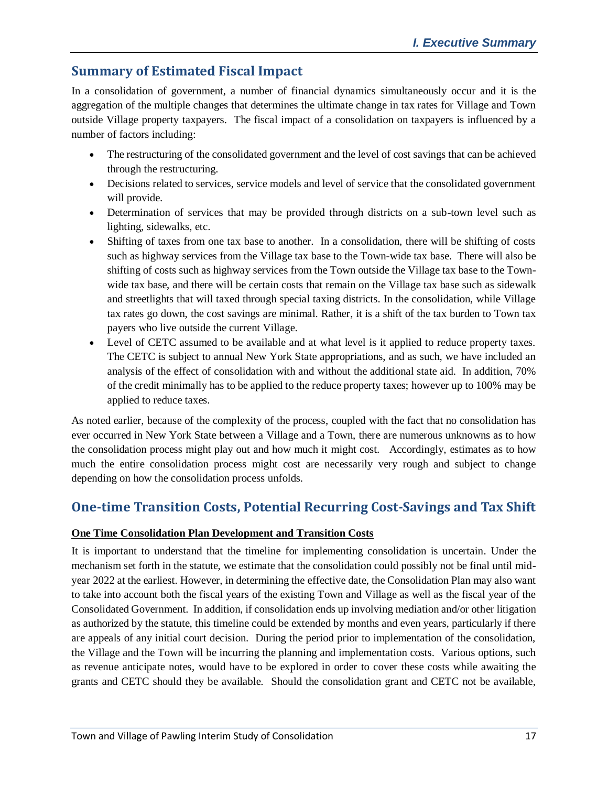# **Summary of Estimated Fiscal Impact**

In a consolidation of government, a number of financial dynamics simultaneously occur and it is the aggregation of the multiple changes that determines the ultimate change in tax rates for Village and Town outside Village property taxpayers. The fiscal impact of a consolidation on taxpayers is influenced by a number of factors including:

- The restructuring of the consolidated government and the level of cost savings that can be achieved through the restructuring.
- Decisions related to services, service models and level of service that the consolidated government will provide.
- Determination of services that may be provided through districts on a sub-town level such as lighting, sidewalks, etc.
- Shifting of taxes from one tax base to another. In a consolidation, there will be shifting of costs such as highway services from the Village tax base to the Town-wide tax base. There will also be shifting of costs such as highway services from the Town outside the Village tax base to the Townwide tax base, and there will be certain costs that remain on the Village tax base such as sidewalk and streetlights that will taxed through special taxing districts. In the consolidation, while Village tax rates go down, the cost savings are minimal. Rather, it is a shift of the tax burden to Town tax payers who live outside the current Village.
- Level of CETC assumed to be available and at what level is it applied to reduce property taxes. The CETC is subject to annual New York State appropriations, and as such, we have included an analysis of the effect of consolidation with and without the additional state aid. In addition, 70% of the credit minimally has to be applied to the reduce property taxes; however up to 100% may be applied to reduce taxes.

As noted earlier, because of the complexity of the process, coupled with the fact that no consolidation has ever occurred in New York State between a Village and a Town, there are numerous unknowns as to how the consolidation process might play out and how much it might cost. Accordingly, estimates as to how much the entire consolidation process might cost are necessarily very rough and subject to change depending on how the consolidation process unfolds.

# **One-time Transition Costs, Potential Recurring Cost-Savings and Tax Shift**

#### **One Time Consolidation Plan Development and Transition Costs**

It is important to understand that the timeline for implementing consolidation is uncertain. Under the mechanism set forth in the statute, we estimate that the consolidation could possibly not be final until midyear 2022 at the earliest. However, in determining the effective date, the Consolidation Plan may also want to take into account both the fiscal years of the existing Town and Village as well as the fiscal year of the Consolidated Government. In addition, if consolidation ends up involving mediation and/or other litigation as authorized by the statute, this timeline could be extended by months and even years, particularly if there are appeals of any initial court decision. During the period prior to implementation of the consolidation, the Village and the Town will be incurring the planning and implementation costs. Various options, such as revenue anticipate notes, would have to be explored in order to cover these costs while awaiting the grants and CETC should they be available. Should the consolidation grant and CETC not be available,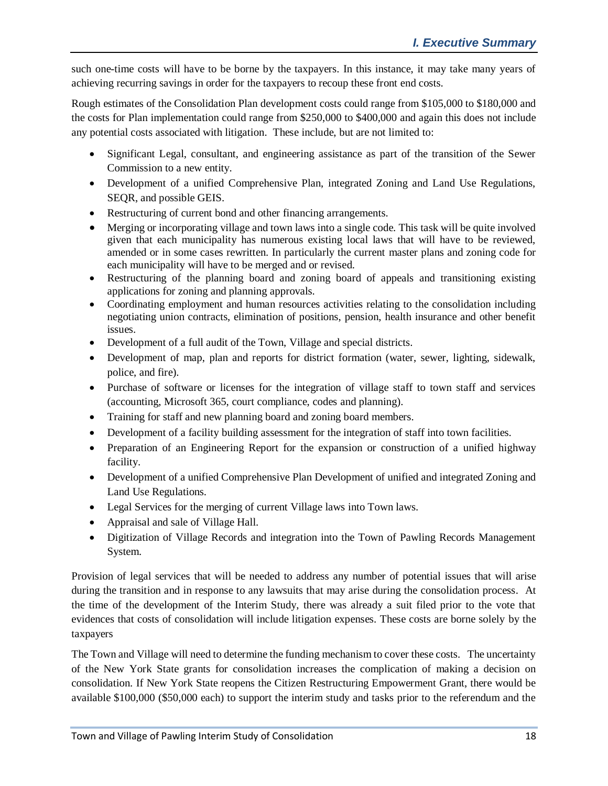such one-time costs will have to be borne by the taxpayers. In this instance, it may take many years of achieving recurring savings in order for the taxpayers to recoup these front end costs.

Rough estimates of the Consolidation Plan development costs could range from \$105,000 to \$180,000 and the costs for Plan implementation could range from \$250,000 to \$400,000 and again this does not include any potential costs associated with litigation. These include, but are not limited to:

- Significant Legal, consultant, and engineering assistance as part of the transition of the Sewer Commission to a new entity.
- Development of a unified Comprehensive Plan, integrated Zoning and Land Use Regulations, SEQR, and possible GEIS.
- Restructuring of current bond and other financing arrangements.
- Merging or incorporating village and town laws into a single code. This task will be quite involved given that each municipality has numerous existing local laws that will have to be reviewed, amended or in some cases rewritten. In particularly the current master plans and zoning code for each municipality will have to be merged and or revised.
- Restructuring of the planning board and zoning board of appeals and transitioning existing applications for zoning and planning approvals.
- Coordinating employment and human resources activities relating to the consolidation including negotiating union contracts, elimination of positions, pension, health insurance and other benefit issues.
- Development of a full audit of the Town, Village and special districts.
- Development of map, plan and reports for district formation (water, sewer, lighting, sidewalk, police, and fire).
- Purchase of software or licenses for the integration of village staff to town staff and services (accounting, Microsoft 365, court compliance, codes and planning).
- Training for staff and new planning board and zoning board members.
- Development of a facility building assessment for the integration of staff into town facilities.
- Preparation of an Engineering Report for the expansion or construction of a unified highway facility.
- Development of a unified Comprehensive Plan Development of unified and integrated Zoning and Land Use Regulations.
- Legal Services for the merging of current Village laws into Town laws.
- Appraisal and sale of Village Hall.
- Digitization of Village Records and integration into the Town of Pawling Records Management System.

Provision of legal services that will be needed to address any number of potential issues that will arise during the transition and in response to any lawsuits that may arise during the consolidation process. At the time of the development of the Interim Study, there was already a suit filed prior to the vote that evidences that costs of consolidation will include litigation expenses. These costs are borne solely by the taxpayers

The Town and Village will need to determine the funding mechanism to cover these costs. The uncertainty of the New York State grants for consolidation increases the complication of making a decision on consolidation. If New York State reopens the Citizen Restructuring Empowerment Grant, there would be available \$100,000 (\$50,000 each) to support the interim study and tasks prior to the referendum and the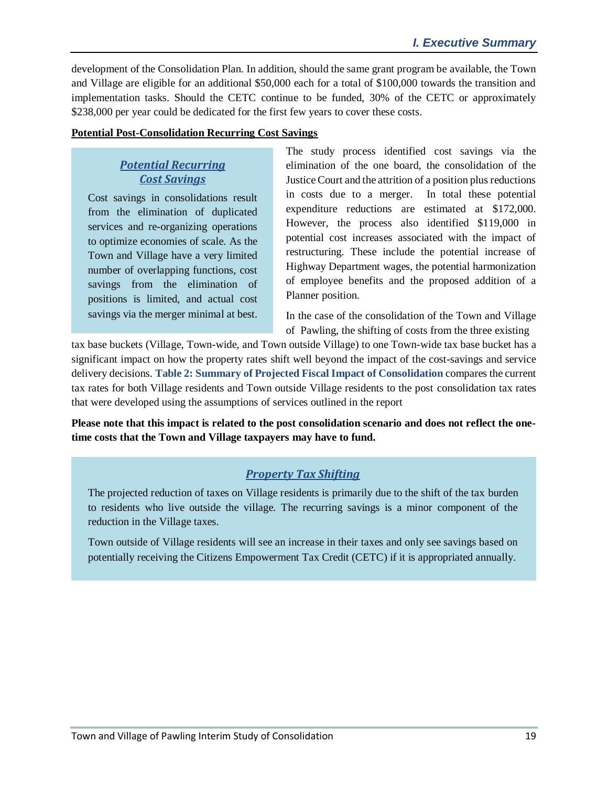development of the Consolidation Plan. In addition, should the same grant program be available, the Town and Village are eligible for an additional \$50,000 each for a total of \$100,000 towards the transition and implementation tasks. Should the CETC continue to be funded, 30% of the CETC or approximately \$238,000 per year could be dedicated for the first few years to cover these costs.

#### **Potential Post-Consolidation Recurring Cost Savings**

## *Potential Recurring Cost Savings*

Cost savings in consolidations result from the elimination of duplicated services and re-organizing operations to optimize economies of scale. As the Town and Village have a very limited number of overlapping functions, cost savings from the elimination of positions is limited, and actual cost savings via the merger minimal at best. The study process identified cost savings via the elimination of the one board, the consolidation of the Justice Court and the attrition of a position plus reductions in costs due to a merger. In total these potential expenditure reductions are estimated at \$172,000. However, the process also identified \$119,000 in potential cost increases associated with the impact of restructuring. These include the potential increase of Highway Department wages, the potential harmonization of employee benefits and the proposed addition of a Planner position.

In the case of the consolidation of the Town and Village of Pawling, the shifting of costs from the three existing

tax base buckets (Village, Town-wide, and Town outside Village) to one Town-wide tax base bucket has a significant impact on how the property rates shift well beyond the impact of the cost-savings and service delivery decisions. **Table 2: Summary of Projected Fiscal Impact of Consolidation** compares the current tax rates for both Village residents and Town outside Village residents to the post consolidation tax rates that were developed using the assumptions of services outlined in the report

**Please note that this impact is related to the post consolidation scenario and does not reflect the onetime costs that the Town and Village taxpayers may have to fund.**

### *Property Tax Shifting*

The projected reduction of taxes on Village residents is primarily due to the shift of the tax burden to residents who live outside the village. The recurring savings is a minor component of the reduction in the Village taxes.

Town outside of Village residents will see an increase in their taxes and only see savings based on potentially receiving the Citizens Empowerment Tax Credit (CETC) if it is appropriated annually.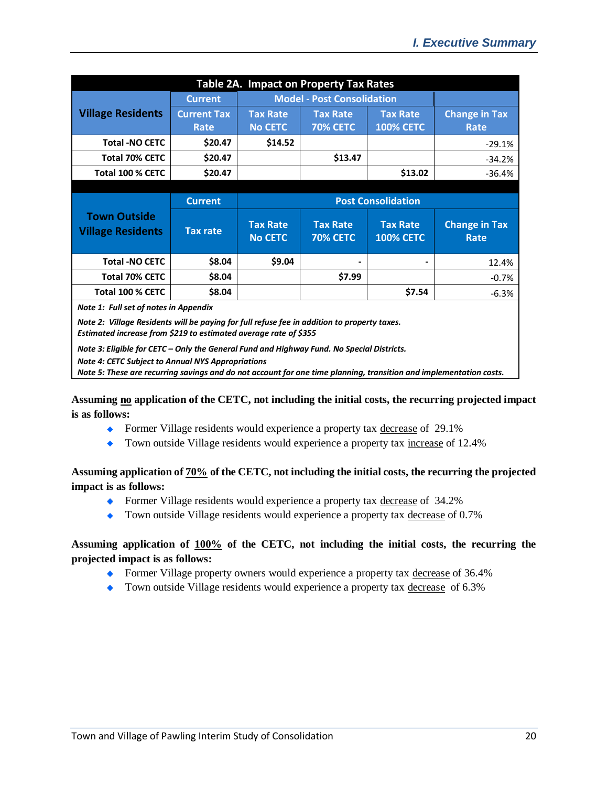| <b>Table 2A. Impact on Property Tax Rates</b>                                                                                         |                    |                                   |                                    |                                     |                              |  |  |  |
|---------------------------------------------------------------------------------------------------------------------------------------|--------------------|-----------------------------------|------------------------------------|-------------------------------------|------------------------------|--|--|--|
|                                                                                                                                       | <b>Current</b>     | <b>Model - Post Consolidation</b> |                                    |                                     |                              |  |  |  |
| <b>Village Residents</b>                                                                                                              | <b>Current Tax</b> | <b>Tax Rate</b>                   | <b>Tax Rate</b>                    | <b>Tax Rate</b>                     | <b>Change in Tax</b>         |  |  |  |
|                                                                                                                                       | Rate               | <b>No CETC</b>                    | <b>70% CETC</b>                    | <b>100% CETC</b>                    | Rate                         |  |  |  |
| <b>Total -NO CETC</b>                                                                                                                 | \$20.47            | \$14.52                           |                                    |                                     | $-29.1%$                     |  |  |  |
| <b>Total 70% CETC</b>                                                                                                                 | \$20.47            |                                   | \$13.47                            |                                     | $-34.2%$                     |  |  |  |
| Total 100 % CETC                                                                                                                      | \$20.47            |                                   |                                    | \$13.02                             | $-36.4%$                     |  |  |  |
|                                                                                                                                       |                    |                                   |                                    |                                     |                              |  |  |  |
| <b>Town Outside</b><br><b>Village Residents</b>                                                                                       | <b>Current</b>     | <b>Post Consolidation</b>         |                                    |                                     |                              |  |  |  |
|                                                                                                                                       | <b>Tax rate</b>    | <b>Tax Rate</b><br><b>No CETC</b> | <b>Tax Rate</b><br><b>70% CETC</b> | <b>Tax Rate</b><br><b>100% CETC</b> | <b>Change in Tax</b><br>Rate |  |  |  |
| <b>Total -NO CETC</b>                                                                                                                 | \$8.04             | \$9.04                            |                                    |                                     | 12.4%                        |  |  |  |
| <b>Total 70% CETC</b>                                                                                                                 | \$8.04             |                                   | \$7.99                             |                                     | $-0.7%$                      |  |  |  |
| Total 100 % CETC                                                                                                                      | \$8.04             |                                   |                                    | \$7.54                              | $-6.3%$                      |  |  |  |
| Note 1: Full set of notes in Appendix<br>Alata 3: Ullives Desidents will be nowing for full refuse for in addition to proposity tower |                    |                                   |                                    |                                     |                              |  |  |  |

*Note 2: Village Residents will be paying for full refuse fee in addition to property taxes. Estimated increase from \$219 to estimated average rate of \$355*

*Note 3: Eligible for CETC – Only the General Fund and Highway Fund. No Special Districts.*

*Note 4: CETC Subject to Annual NYS Appropriations*

*Note 5: These are recurring savings and do not account for one time planning, transition and implementation costs.*

**Assuming no application of the CETC, not including the initial costs, the recurring projected impact is as follows:**

- Former Village residents would experience a property tax decrease of 29.1%
- Town outside Village residents would experience a property tax increase of 12.4% ٠

#### **Assuming application of 70% of the CETC, not including the initial costs, the recurring the projected impact is as follows:**

- Former Village residents would experience a property tax decrease of 34.2%
- Town outside Village residents would experience a property tax decrease of 0.7%

#### **Assuming application of 100% of the CETC, not including the initial costs, the recurring the projected impact is as follows:**

- Former Village property owners would experience a property tax decrease of 36.4%
- ◆ Town outside Village residents would experience a property tax decrease of 6.3%